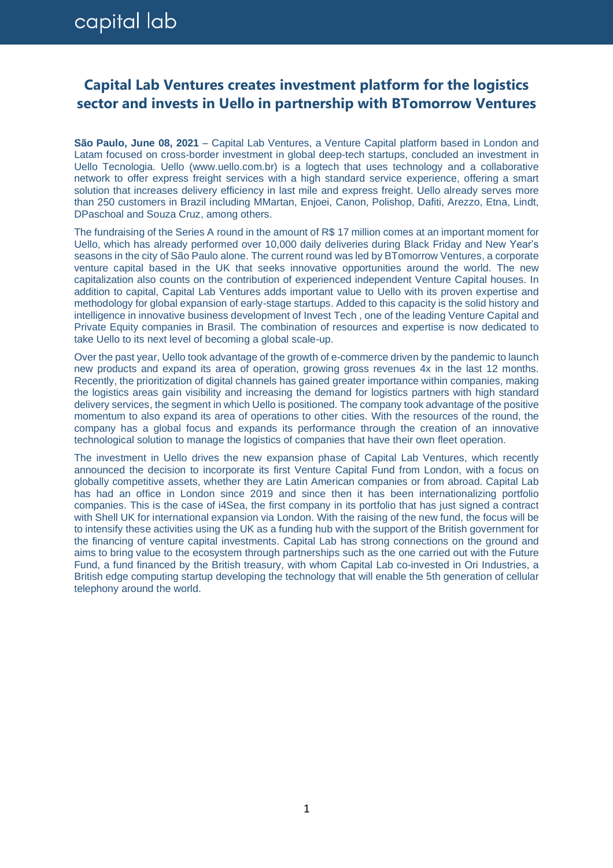## **Capital Lab Ventures creates investment platform for the logistics sector and invests in Uello in partnership with BTomorrow Ventures**

**São Paulo, June 08, 2021** – Capital Lab Ventures, a Venture Capital platform based in London and Latam focused on cross-border investment in global deep-tech startups, concluded an investment in Uello Tecnologia. Uello (www.uello.com.br) is a logtech that uses technology and a collaborative network to offer express freight services with a high standard service experience, offering a smart solution that increases delivery efficiency in last mile and express freight. Uello already serves more than 250 customers in Brazil including MMartan, Enjoei, Canon, Polishop, Dafiti, Arezzo, Etna, Lindt, DPaschoal and Souza Cruz, among others.

The fundraising of the Series A round in the amount of R\$ 17 million comes at an important moment for Uello, which has already performed over 10,000 daily deliveries during Black Friday and New Year's seasons in the city of São Paulo alone. The current round was led by BTomorrow Ventures, a corporate venture capital based in the UK that seeks innovative opportunities around the world. The new capitalization also counts on the contribution of experienced independent Venture Capital houses. In addition to capital, Capital Lab Ventures adds important value to Uello with its proven expertise and methodology for global expansion of early-stage startups. Added to this capacity is the solid history and intelligence in innovative business development of Invest Tech , one of the leading Venture Capital and Private Equity companies in Brasil. The combination of resources and expertise is now dedicated to take Uello to its next level of becoming a global scale-up.

Over the past year, Uello took advantage of the growth of e-commerce driven by the pandemic to launch new products and expand its area of operation, growing gross revenues 4x in the last 12 months. Recently, the prioritization of digital channels has gained greater importance within companies, making the logistics areas gain visibility and increasing the demand for logistics partners with high standard delivery services, the segment in which Uello is positioned. The company took advantage of the positive momentum to also expand its area of operations to other cities. With the resources of the round, the company has a global focus and expands its performance through the creation of an innovative technological solution to manage the logistics of companies that have their own fleet operation.

The investment in Uello drives the new expansion phase of Capital Lab Ventures, which recently announced the decision to incorporate its first Venture Capital Fund from London, with a focus on globally competitive assets, whether they are Latin American companies or from abroad. Capital Lab has had an office in London since 2019 and since then it has been internationalizing portfolio companies. This is the case of i4Sea, the first company in its portfolio that has just signed a contract with Shell UK for international expansion via London. With the raising of the new fund, the focus will be to intensify these activities using the UK as a funding hub with the support of the British government for the financing of venture capital investments. Capital Lab has strong connections on the ground and aims to bring value to the ecosystem through partnerships such as the one carried out with the Future Fund, a fund financed by the British treasury, with whom Capital Lab co-invested in Ori Industries, a British edge computing startup developing the technology that will enable the 5th generation of cellular telephony around the world.